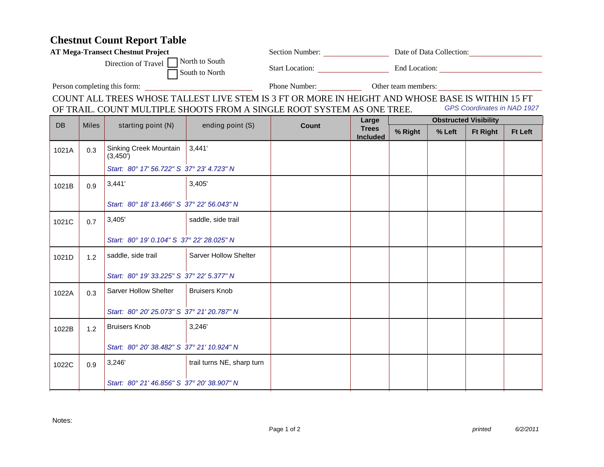## **Chestnut Count Report Table**

| <b>AT Mega-Transect Chestnut Project</b>                                                              |              |                                            |                                                                                                  |                                   | Section Number: Date of Data Collection: |                              |        |                 |                |  |
|-------------------------------------------------------------------------------------------------------|--------------|--------------------------------------------|--------------------------------------------------------------------------------------------------|-----------------------------------|------------------------------------------|------------------------------|--------|-----------------|----------------|--|
| North to South<br>Direction of Travel<br>South to North                                               |              |                                            |                                                                                                  | Start Location: End Location:     |                                          |                              |        |                 |                |  |
| Person completing this form:                                                                          |              |                                            |                                                                                                  | Phone Number: Other team members: |                                          |                              |        |                 |                |  |
|                                                                                                       |              |                                            | COUNT ALL TREES WHOSE TALLEST LIVE STEM IS 3 FT OR MORE IN HEIGHT AND WHOSE BASE IS WITHIN 15 FT |                                   |                                          |                              |        |                 |                |  |
| GPS Coordinates in NAD 1927<br>OF TRAIL. COUNT MULTIPLE SHOOTS FROM A SINGLE ROOT SYSTEM AS ONE TREE. |              |                                            |                                                                                                  |                                   |                                          |                              |        |                 |                |  |
| DB                                                                                                    | <b>Miles</b> | starting point (N)                         | ending point (S)                                                                                 | <b>Count</b>                      | Large<br><b>Trees</b><br><b>Included</b> | <b>Obstructed Visibility</b> |        |                 |                |  |
|                                                                                                       |              |                                            |                                                                                                  |                                   |                                          | % Right                      | % Left | <b>Ft Right</b> | <b>Ft Left</b> |  |
| 1021A                                                                                                 | 0.3          | Sinking Creek Mountain<br>(3,450)          | 3,441'                                                                                           |                                   |                                          |                              |        |                 |                |  |
|                                                                                                       |              | Start: 80° 17' 56.722" S 37° 23' 4.723" N  |                                                                                                  |                                   |                                          |                              |        |                 |                |  |
| 1021B                                                                                                 | 0.9          | 3,441'                                     | 3,405'                                                                                           |                                   |                                          |                              |        |                 |                |  |
|                                                                                                       |              | Start: 80° 18' 13.466" S 37° 22' 56.043" N |                                                                                                  |                                   |                                          |                              |        |                 |                |  |
| 1021C                                                                                                 | 0.7          | 3,405'                                     | saddle, side trail                                                                               |                                   |                                          |                              |        |                 |                |  |
|                                                                                                       |              | Start: 80° 19' 0.104" S 37° 22' 28.025" N  |                                                                                                  |                                   |                                          |                              |        |                 |                |  |
| 1021D                                                                                                 | 1.2          | saddle, side trail                         | <b>Sarver Hollow Shelter</b>                                                                     |                                   |                                          |                              |        |                 |                |  |
|                                                                                                       |              | Start: 80° 19' 33.225" S 37° 22' 5.377" N  |                                                                                                  |                                   |                                          |                              |        |                 |                |  |
| 1022A                                                                                                 | 0.3          | Sarver Hollow Shelter                      | <b>Bruisers Knob</b>                                                                             |                                   |                                          |                              |        |                 |                |  |
|                                                                                                       |              | Start: 80° 20' 25.073" S 37° 21' 20.787" N |                                                                                                  |                                   |                                          |                              |        |                 |                |  |
| 1022B                                                                                                 | 1.2          | <b>Bruisers Knob</b>                       | 3,246'                                                                                           |                                   |                                          |                              |        |                 |                |  |
|                                                                                                       |              | Start: 80° 20' 38.482" S 37° 21' 10.924" N |                                                                                                  |                                   |                                          |                              |        |                 |                |  |
| 1022C                                                                                                 | 0.9          | 3,246'                                     | trail turns NE, sharp turn                                                                       |                                   |                                          |                              |        |                 |                |  |
|                                                                                                       |              | Start: 80° 21' 46.856" S 37° 20' 38.907" N |                                                                                                  |                                   |                                          |                              |        |                 |                |  |